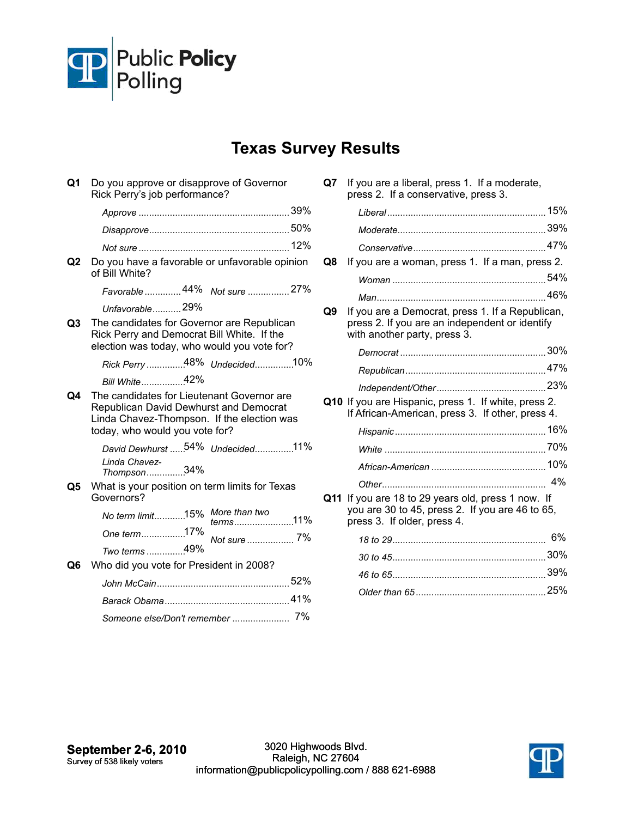

## **Texas Survey Results**

| Q1 | Do you approve or disapprove of Governor<br>Rick Perry's job performance?                                                                                            |
|----|----------------------------------------------------------------------------------------------------------------------------------------------------------------------|
|    |                                                                                                                                                                      |
|    |                                                                                                                                                                      |
|    |                                                                                                                                                                      |
| Q2 | Do you have a favorable or unfavorable opinion<br>of Bill White?                                                                                                     |
|    | Favorable  44% Not sure  27%                                                                                                                                         |
|    | Unfavorable29%                                                                                                                                                       |
| Q3 | The candidates for Governor are Republican<br>Rick Perry and Democrat Bill White. If the<br>election was today, who would you vote for?                              |
|    | Rick Perry 48% Undecided10%                                                                                                                                          |
|    | Bill White42%                                                                                                                                                        |
| Q4 | The candidates for Lieutenant Governor are<br>Republican David Dewhurst and Democrat<br>Linda Chavez-Thompson. If the election was<br>today, who would you vote for? |
|    | David Dewhurst  54% Undecided11%<br>Linda Chavez-<br>Thompson34%                                                                                                     |
| Q5 | What is your position on term limits for Texas<br>Governors?                                                                                                         |
|    | No term limit15% More than two<br>terms11%                                                                                                                           |
|    | One term17%                                                                                                                                                          |
|    | Two terms 49%                                                                                                                                                        |
| Q6 | Who did you vote for President in 2008?                                                                                                                              |
|    |                                                                                                                                                                      |
|    |                                                                                                                                                                      |
|    | Someone else/Don't remember  7%                                                                                                                                      |

| Q7 . | If you are a liberal, press 1. If a moderate,<br>press 2. If a conservative, press 3.                                                |    |
|------|--------------------------------------------------------------------------------------------------------------------------------------|----|
|      |                                                                                                                                      |    |
|      |                                                                                                                                      |    |
|      |                                                                                                                                      |    |
| Q8   | If you are a woman, press 1. If a man, press 2.                                                                                      |    |
|      |                                                                                                                                      |    |
|      |                                                                                                                                      |    |
| Q9   | If you are a Democrat, press 1. If a Republican,<br>press 2. If you are an independent or identify<br>with another party, press 3.   |    |
|      |                                                                                                                                      |    |
|      |                                                                                                                                      |    |
|      |                                                                                                                                      |    |
|      | Q10 If you are Hispanic, press 1. If white, press 2.<br>If African-American, press 3. If other, press 4.                             |    |
|      |                                                                                                                                      |    |
|      |                                                                                                                                      |    |
|      |                                                                                                                                      |    |
|      |                                                                                                                                      |    |
|      | Q11 If you are 18 to 29 years old, press 1 now. If<br>you are 30 to 45, press 2. If you are 46 to 65,<br>press 3. If older, press 4. |    |
|      |                                                                                                                                      | 6% |
|      |                                                                                                                                      |    |
|      |                                                                                                                                      |    |
|      |                                                                                                                                      |    |
|      |                                                                                                                                      |    |

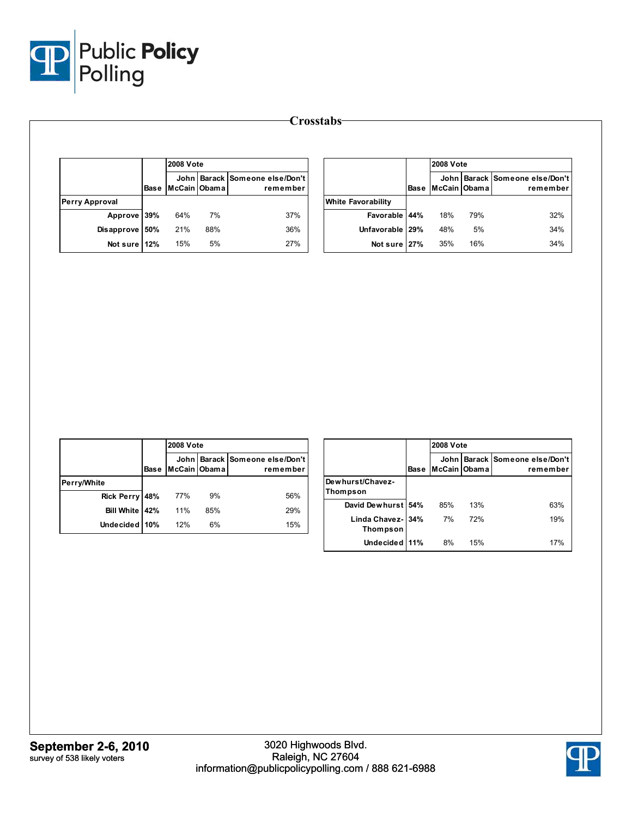

|                |             | <b>2008 Vote</b> |     |                                            |  |  |  |
|----------------|-------------|------------------|-----|--------------------------------------------|--|--|--|
|                | <b>Base</b> | McCain Obama     |     | John Barack Someone else/Don't<br>remember |  |  |  |
| Perry Approval |             |                  |     |                                            |  |  |  |
| <b>Approve</b> | 39%         | 64%              | 7%  | 37%                                        |  |  |  |
| Disapprove     | 50%         | 21%              | 88% | 36%                                        |  |  |  |
| Not sure 12%   |             | 15%              | 5%  | 27%                                        |  |  |  |

|                           |             | <b>2008 Vote</b> |     |                                            |  |  |  |  |
|---------------------------|-------------|------------------|-----|--------------------------------------------|--|--|--|--|
|                           | <b>Base</b> | McCain Obama     |     | John Barack Someone else/Don't<br>remember |  |  |  |  |
| <b>White Favorability</b> |             |                  |     |                                            |  |  |  |  |
| Favorable 44%             |             | 18%              | 79% | 32%                                        |  |  |  |  |
| Unfavorable               | 29%         | 48%              | 5%  | 34%                                        |  |  |  |  |
| Not sure 27%              |             | 35%              | 16% | 34%                                        |  |  |  |  |

|                |             | <b>2008 Vote</b> |     |                                            |
|----------------|-------------|------------------|-----|--------------------------------------------|
|                | <b>Base</b> | McCain Obama     |     | John Barack Someone else/Don't<br>remember |
| Perry/White    |             |                  |     |                                            |
| Rick Perry 48% |             | 77%              | 9%  | 56%                                        |
| Bill White 42% |             | 11%              | 85% | 29%                                        |
| Undecided 10%  |             | 12%              | 6%  | 15%                                        |

|                                      |             |                        | <b>2008 Vote</b> |                                       |  |  |  |  |  |  |  |
|--------------------------------------|-------------|------------------------|------------------|---------------------------------------|--|--|--|--|--|--|--|
|                                      | <b>Base</b> | John l<br>McCain Obama |                  | Barack Someone else/Don't<br>remember |  |  |  |  |  |  |  |
| Dew hurst/Chavez-<br>Thompson        |             |                        |                  |                                       |  |  |  |  |  |  |  |
| David Dewhurst 54%                   |             | 85%                    | 13%              | 63%                                   |  |  |  |  |  |  |  |
| Linda Chavez-134%<br><b>Thompson</b> |             | 7%                     | 72%              | 19%                                   |  |  |  |  |  |  |  |
| Undecided 11%                        |             | 8%                     | 15%              | 17%                                   |  |  |  |  |  |  |  |

**Crosstabs**

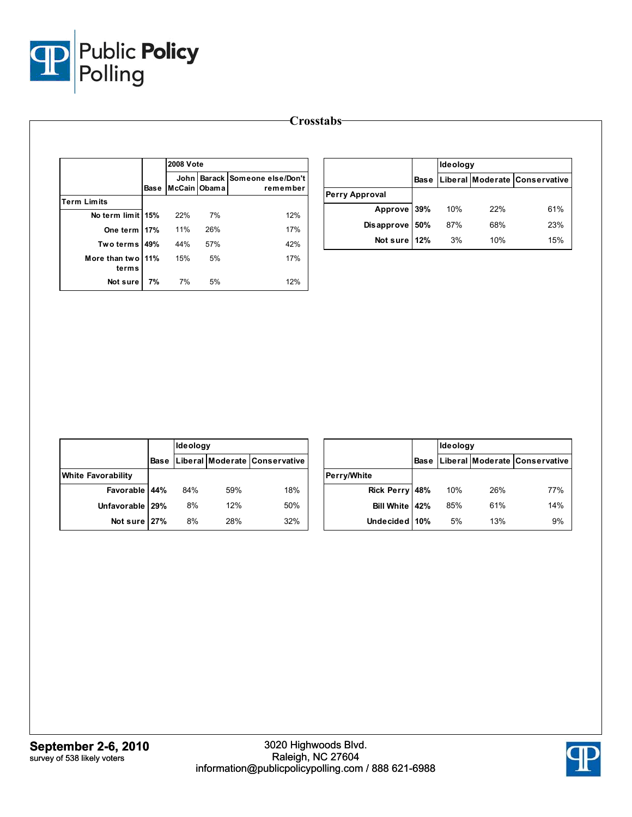

|                            |             | <b>2008 Vote</b>     |     |                                       |
|----------------------------|-------------|----------------------|-----|---------------------------------------|
|                            | <b>Base</b> | John<br>McCain Obama |     | Barack Someone else/Don't<br>remember |
| <b>Term Limits</b>         |             |                      |     |                                       |
| No term limit 15%          |             | 22%                  | 7%  | 12%                                   |
| One term 17%               |             | 11%                  | 26% | 17%                                   |
| Two terms                  | 49%         | 44%                  | 57% | 42%                                   |
| More than two 11%<br>terms |             | 15%                  | 5%  | 17%                                   |
| Not sure                   | 7%          | 7%                   | 5%  | 12%                                   |

|                |             | Ideology |     |                               |  |  |
|----------------|-------------|----------|-----|-------------------------------|--|--|
|                | <b>Base</b> |          |     | Liberal Moderate Conservative |  |  |
| Perry Approval |             |          |     |                               |  |  |
| Approve 39%    |             | 10%      | 22% | 61%                           |  |  |
| Disapprove 50% |             | 87%      | 68% | 23%                           |  |  |
| Not sure 12%   |             | 3%       | 10% | 15%                           |  |  |

|                           |             | Ideology |     |                               |
|---------------------------|-------------|----------|-----|-------------------------------|
|                           | <b>Base</b> |          |     | Liberal Moderate Conservative |
| <b>White Favorability</b> |             |          |     |                               |
| Favorable 44%             |             | 84%      | 59% | 18%                           |
| Unfavorable   29%         |             | 8%       | 12% | 50%                           |
| Not sure 27%              |             | 8%       | 28% | 32%                           |

|                  |             | Ideology |     |                               |  |  |  |  |
|------------------|-------------|----------|-----|-------------------------------|--|--|--|--|
|                  | <b>Base</b> |          |     | Liberal Moderate Conservative |  |  |  |  |
| Perry/White      |             |          |     |                               |  |  |  |  |
| Rick Perry 48%   |             | 10%      | 26% | 77%                           |  |  |  |  |
| Bill White   42% |             | 85%      | 61% | 14%                           |  |  |  |  |
| Undecided   10%  |             | 5%       | 13% | 9%                            |  |  |  |  |

**Crosstabs**

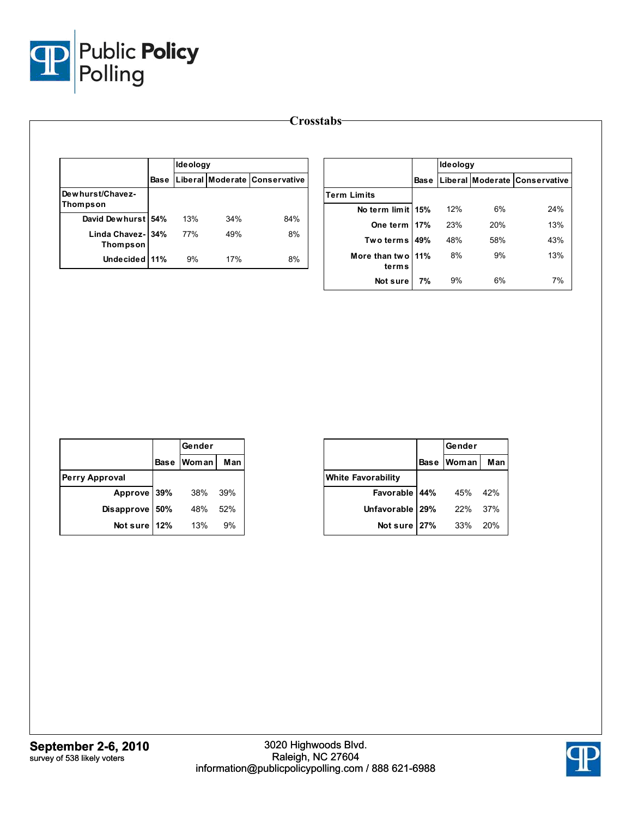

|                               |      | Ideology |     |                               |                              |    | Ideology |     |                                          |
|-------------------------------|------|----------|-----|-------------------------------|------------------------------|----|----------|-----|------------------------------------------|
|                               | Base |          |     | Liberal Moderate Conservative |                              |    |          |     | Base   Liberal   Moderate   Conservative |
| Dewhurst/Chavez-              |      |          |     |                               | <b>Term Limits</b>           |    |          |     |                                          |
| Thompson                      |      |          |     |                               | No term limit 15%            |    | 12%      | 6%  | 24%                                      |
| David Dewhurst 54%            |      | 13%      | 34% | 84%                           | One term 17%                 |    | 23%      | 20% | 13%                                      |
| Linda Chavez-134%<br>Thompson |      | 77%      | 49% | 8%                            | Two terms   49%              |    | 48%      | 58% | 43%                                      |
| Undecided 11%                 |      | 9%       | 17% | 8%                            | More than two   11%<br>terms |    | 8%       | 9%  | 13%                                      |
|                               |      |          |     |                               | Not sure                     | 7% | 9%       | 6%  | 7%                                       |

|                       |             | Gender       |     |  |
|-----------------------|-------------|--------------|-----|--|
|                       | <b>Base</b> | <b>Woman</b> | Man |  |
| <b>Perry Approval</b> |             |              |     |  |
| Approve 39%           |             | 38%          | 39% |  |
| <b>Disapprove</b>     | 50%         | 48%          | 52% |  |
| Not sure              | 12%         | 13%          | 9%  |  |

|                           |      | Gender       |     |
|---------------------------|------|--------------|-----|
|                           | Base | <b>Woman</b> | Man |
| <b>White Favorability</b> |      |              |     |
| Favorable 44%             |      | 45%          | 42% |
| Unfavorable 29%           |      | 22%          | 37% |
| Not sure                  | 27%  | 33%          | 20% |

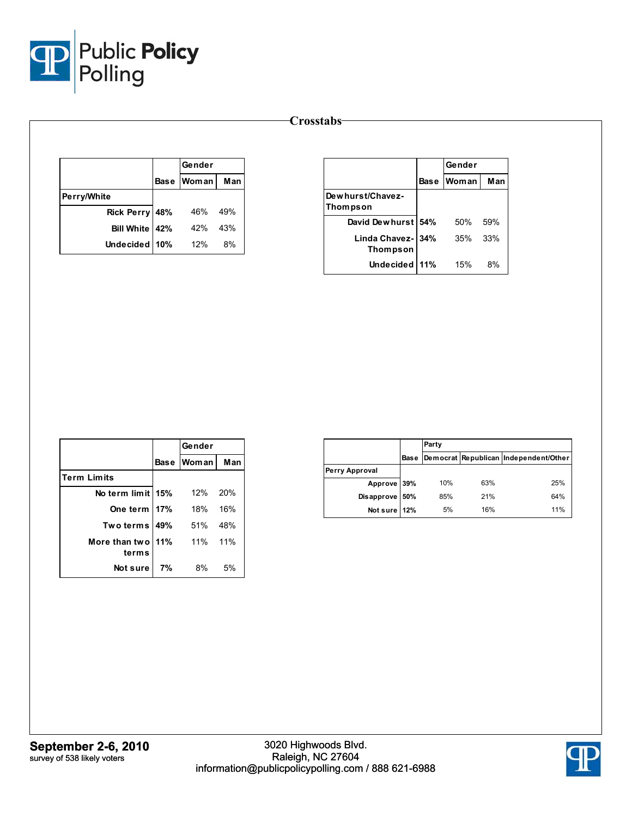

## **Crosstabs**

|                   |     | Gender     |     |  |
|-------------------|-----|------------|-----|--|
|                   |     | Base Woman | Man |  |
| Perry/White       |     |            |     |  |
| Rick Perry 48%    |     | 46%        | 49% |  |
| <b>Bill White</b> | 42% | 42%        | 43% |  |
| Undecided 10%     |     | 12%        | 8%  |  |

|                                      |      | Gender |     |  |  |
|--------------------------------------|------|--------|-----|--|--|
|                                      | Base | Woman  |     |  |  |
| Dewhurst/Chavez-<br>Thompson         |      |        |     |  |  |
| David Dewhurst 54%                   |      | 50%    | 59% |  |  |
| Linda Chavez- 34%<br><b>Thompson</b> |      | 35%    | 33% |  |  |
| <b>Undecided</b>                     | 11%  | 15%    | 8%  |  |  |

|                    |      | Gender  |     |
|--------------------|------|---------|-----|
|                    | Base | Woman I | Man |
| <b>Term Limits</b> |      |         |     |
| No term limit 15%  |      | 12%     | 20% |
| One term 17%       |      | 18%     | 16% |
| Two terms   49%    |      | 51%     | 48% |
| More than two 11%  |      | 11%     | 11% |
| terms              |      |         |     |
| Not sure           | 7%   | 8%      | 5%  |

|                |      | Party |     |                                       |  |  |  |
|----------------|------|-------|-----|---------------------------------------|--|--|--|
|                | Base |       |     | Democrat Republican Independent/Other |  |  |  |
| Perry Approval |      |       |     |                                       |  |  |  |
| Approve 39%    |      | 10%   | 63% | 25%                                   |  |  |  |
| Disapprove 50% |      | 85%   | 21% | 64%                                   |  |  |  |
| Not sure 12%   |      | 5%    | 16% | 11%                                   |  |  |  |

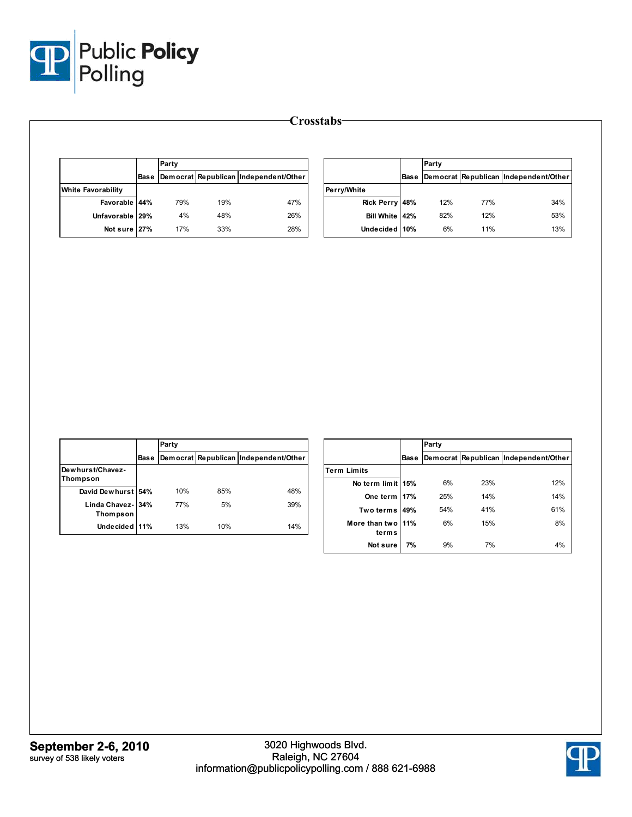

|                                                                  |             | Party |     |                                       |                            |             | Party |     |                                       |  |
|------------------------------------------------------------------|-------------|-------|-----|---------------------------------------|----------------------------|-------------|-------|-----|---------------------------------------|--|
|                                                                  | Base        |       |     | Democrat Republican Independent/Other |                            | <b>Base</b> |       |     | Democrat Republican Independent/Other |  |
| <b>White Favorability</b>                                        |             |       |     |                                       | Perry/White                |             |       |     |                                       |  |
| Favorable 44%                                                    |             | 79%   | 19% | 47%                                   | Rick Perry 48%             |             | 12%   | 77% | 34%                                   |  |
| Unfavorable                                                      | 29%         | 4%    | 48% | 26%                                   | Bill White 42%             |             | 82%   | 12% | 53%                                   |  |
| Not sure 27%                                                     |             | 17%   | 33% | 28%                                   | Undecided 10%              |             | 6%    | 11% | 13%                                   |  |
|                                                                  |             |       |     |                                       |                            |             |       |     |                                       |  |
|                                                                  |             |       |     |                                       |                            |             |       |     |                                       |  |
|                                                                  |             |       |     |                                       |                            |             |       |     |                                       |  |
|                                                                  | <b>Base</b> | Party |     |                                       |                            | <b>Base</b> | Party |     | Democrat Republican Independent/Other |  |
|                                                                  |             |       |     | Democrat Republican Independent/Other | <b>Term Limits</b>         |             |       |     |                                       |  |
|                                                                  |             |       |     |                                       | No term limit 15%          |             | 6%    | 23% | 12%                                   |  |
| David Dewhurst 54%                                               |             | 10%   | 85% | 48%                                   | One term 17%               |             | 25%   | 14% | 14%                                   |  |
| Linda Chavez-                                                    | 34%         | 77%   | 5%  | 39%                                   | Two terms 49%              |             | 54%   | 41% | 61%                                   |  |
| Dewhurst/Chavez-<br><b>Thompson</b><br>Thompson<br>Undecided 11% |             | 13%   | 10% | 14%                                   | More than two 11%<br>terms |             | 6%    | 15% | 8%                                    |  |

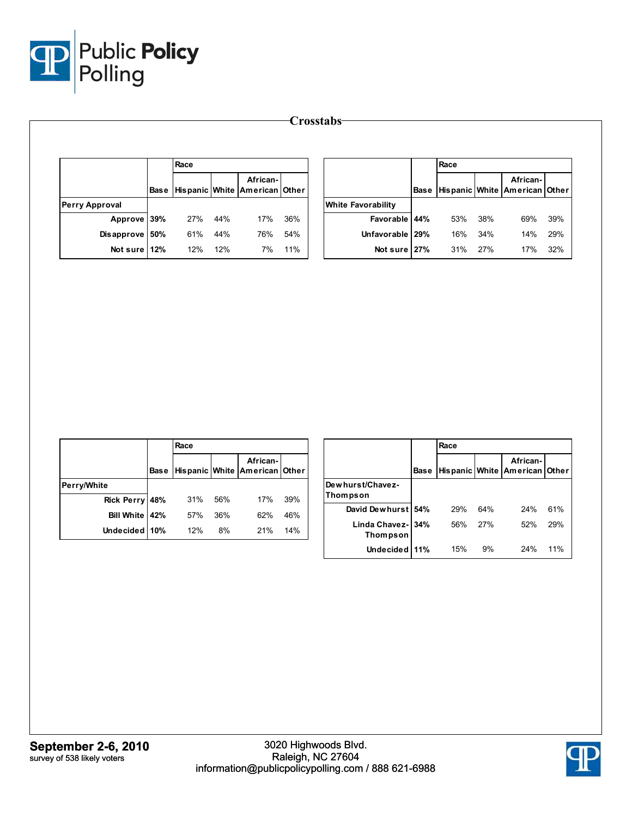

|                       |      |     |                                                        |     | <b>Crosstabs</b>          |             |      |     |                                           |     |
|-----------------------|------|-----|--------------------------------------------------------|-----|---------------------------|-------------|------|-----|-------------------------------------------|-----|
|                       | Race |     |                                                        |     |                           |             | Race |     |                                           |     |
|                       |      |     | African-<br>Base   Hispanic   White   American   Other |     |                           | <b>Base</b> |      |     | African-<br>Hispanic White American Other |     |
| <b>Perry Approval</b> |      |     |                                                        |     | <b>White Favorability</b> |             |      |     |                                           |     |
| Approve 39%           | 27%  | 44% | 17%                                                    | 36% | <b>Favorable</b>          | 44%         | 53%  | 38% | 69%                                       | 39% |
| Disapprove 50%        | 61%  | 44% | 76%                                                    | 54% | Unfavorable   29%         |             | 16%  | 34% | 14%                                       | 29% |
| Not sure 12%          | 12%  | 12% | 7%                                                     | 11% | Not sure 27%              |             | 31%  | 27% | 17%                                       | 32% |

|                |             | Race |     |                                           |     |
|----------------|-------------|------|-----|-------------------------------------------|-----|
|                | <b>Base</b> |      |     | African-<br>Hispanic White American Other |     |
| Perry/White    |             |      |     |                                           |     |
| Rick Perry 48% |             | 31%  | 56% | 17%                                       | 39% |
| Bill White 42% |             | 57%  | 36% | 62%                                       | 46% |
| Undecided 10%  |             | 12%  | 8%  | 21%                                       | 14% |

|                               |             | Race |     |                                           |     |
|-------------------------------|-------------|------|-----|-------------------------------------------|-----|
|                               | <b>Base</b> |      |     | African-<br>Hispanic White American Other |     |
| Dew hurst/Chavez-<br>Thompson |             |      |     |                                           |     |
| David Dewhurst 54%            |             | 29%  | 64% | 24%                                       | 61% |
| Linda Chavez- 34%<br>Thompson |             | 56%  | 27% | 52%                                       | 29% |
| Undecided 11%                 |             | 15%  | 9%  | 24%                                       | 11% |

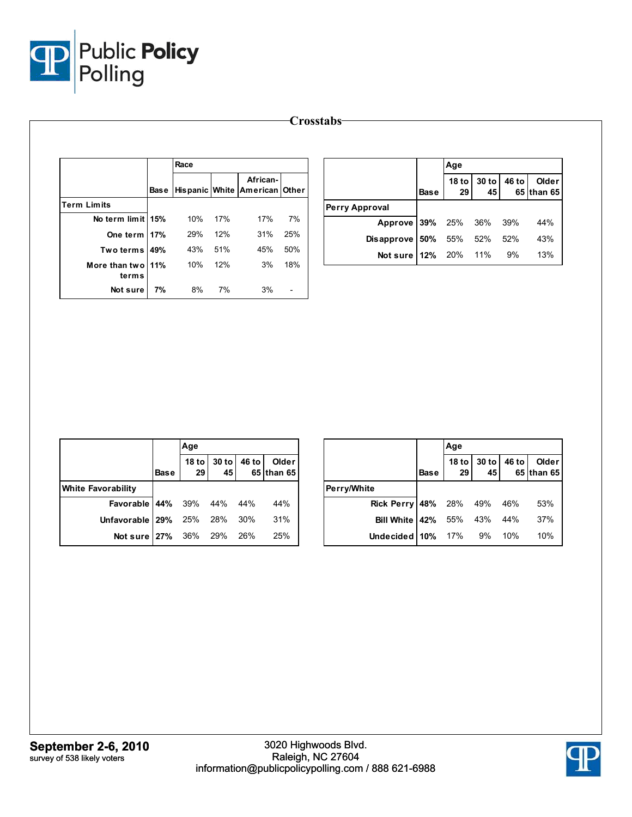

|                            |             | Race |     |                                           |                          |                       |             | Age                    |               |       |                     |
|----------------------------|-------------|------|-----|-------------------------------------------|--------------------------|-----------------------|-------------|------------------------|---------------|-------|---------------------|
|                            | <b>Base</b> |      |     | African-<br>Hispanic White American Other |                          |                       | <b>Base</b> | 18 <sub>to</sub><br>29 | $30$ to<br>45 | 46 to | Older<br>65 than 65 |
| <b>Term Limits</b>         |             |      |     |                                           |                          | <b>Perry Approval</b> |             |                        |               |       |                     |
| No term limit 15%          |             | 10%  | 17% | 17%                                       | 7%                       | Approve               | 39%         | 25%                    | 36%           | 39%   | 44%                 |
| One term   17%             |             | 29%  | 12% | 31%                                       | 25%                      | Disapprove 50%        |             | 55%                    | 52%           | 52%   | 43%                 |
| Two terms 149%             |             | 43%  | 51% | 45%                                       | 50%                      | Not sure 12%          |             | 20%                    | 11%           | 9%    | 13%                 |
| More than two 11%<br>terms |             | 10%  | 12% | 3%                                        | 18%                      |                       |             |                        |               |       |                     |
| Not sure                   | 7%          | 8%   | 7%  | 3%                                        | $\overline{\phantom{0}}$ |                       |             |                        |               |       |                     |

|                             |             | Age                 |                                                         |       |                            |
|-----------------------------|-------------|---------------------|---------------------------------------------------------|-------|----------------------------|
|                             | <b>Base</b> | 18 to $\vert$<br>29 | $\begin{array}{c c} 30 & \text{to} \\ 45 & \end{array}$ | 46 to | <b>Older</b><br>65 than 65 |
| <b>White Favorability</b>   |             |                     |                                                         |       |                            |
| Favorable 44% 39% 44% 44%   |             |                     |                                                         |       | 44%                        |
| Unfavorable 29% 25% 28% 30% |             |                     |                                                         |       | 31%                        |
| Not sure 27% 36% 29% 26%    |             |                     |                                                         |       | 25%                        |

|                            |             | Age         |               |       |                     |
|----------------------------|-------------|-------------|---------------|-------|---------------------|
|                            | <b>Base</b> | 18 to<br>29 | $30$ to<br>45 | 46 to | Older<br>65 than 65 |
| Perry/White                |             |             |               |       |                     |
| Rick Perry 48% 28% 49% 46% |             |             |               |       | 53%                 |
| Bill White   42%           |             | 55% 43% 44% |               |       | 37%                 |
| Undecided 10% 17% 9% 10%   |             |             |               |       | 10%                 |